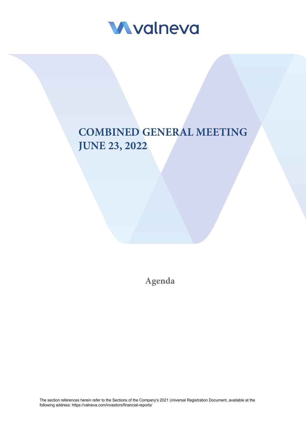

# **COMBINED GENERAL MEETING JUNE 23, 2022**

**Agenda**

The section references herein refer to the Sections of the Company's 2021 Universal Registration Document, available at the following address: [https://valneva.com/investors/financial-re](https://valneva.com/investors/financial-reports/)ports/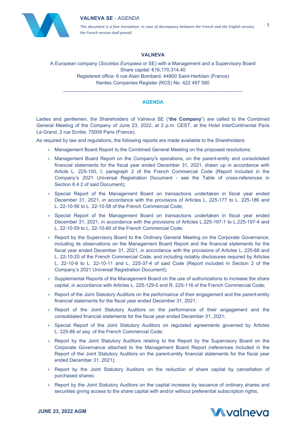## **VALNEVA SE** - *AGENDA*



*This document is a free translation. In case of discrepancy between the French and the English version, the French version shall prevail*.

# **VALNEVA**

A European company (*Societas Europaea* or SE) with a Management and a Supervisory Board Share capital: €16,170,314.40 Registered office: 6 rue Alain Bombard, 44800 Saint-Herblain (France) Nantes Companies Register (RCS) No. 422 497 560

## **AGENDA**

\_\_\_\_\_\_\_\_\_\_\_\_\_\_\_\_\_\_\_\_\_\_\_\_\_\_\_\_\_\_\_\_\_\_\_\_\_\_\_\_\_\_\_\_\_\_\_\_\_\_\_\_\_\_\_\_\_\_\_\_\_\_\_\_\_\_

Ladies and gentlemen, the Shareholders of Valneva SE ("**the Company**") are called to the Combined General Meeting of the Company of June 23, 2022, at 2 p.m. CEST, at the Hotel InterContinental Paris Le Grand, 2 rue Scribe, 75009 Paris (France).

As required by law and regulations, the following reports are made available to the Shareholders:

- + Management Board Report to the Combined General Meeting on the proposed resolutions;
- + Management Board Report on the Company's operations, on the parent-entity and consolidated financial statements for the fiscal year ended December 31, 2021, drawn up in accordance with Article L. 225-100, I, paragraph 2 of the French Commercial Code (Report included in the Company's 2021 Universal Registration Document - see the Table of cross-references in Section 6.4.2 of said Document);
- + Special Report of the Management Board on transactions undertaken in fiscal year ended December 31, 2021, in accordance with the provisions of Articles L. 225-177 to L. 225-186 and L. 22-10-56 to L. 22-10-58 of the French Commercial Code;
- + Special Report of the Management Board on transactions undertaken in fiscal year ended December 31, 2021, in accordance with the provisions of Articles L.225-197-1 to L.225-197-4 and L. 22-10-59 to L. 22-10-60 of the French Commercial Code;
- + Report by the Supervisory Board to the Ordinary General Meeting on the Corporate Governance, including its observations on the Management Board Report and the financial statements for the fiscal year ended December 31, 2021, in accordance with the provisions of Articles L. 225-68 and L. 22-10-20 of the French Commercial Code, and including notably disclosures required by Articles L. 22-10-9 to L. 22-10-11 and L. 225-37-4 of said Code (Report included in Section 2 of the Company's 2021 Universal Registration Document);
- + Supplemental Reports of the Management Board on the use of authorizations to increase the share capital, in accordance with Articles L. 225-129-5 and R. 225-116 of the French Commercial Code;
- + Report of the Joint Statutory Auditors on the performance of their engagement and the parent-entity financial statements for the fiscal year ended December 31, 2021;
- + Report of the Joint Statutory Auditors on the performance of their engagement and the consolidated financial statements for the fiscal year ended December 31, 2021;
- + Special Report of the Joint Statutory Auditors on regulated agreements governed by Articles L. 225-86 *et seq.* of the French Commercial Code;
- + Report by the Joint Statutory Auditors relating to the Report by the Supervisory Board on the Corporate Governance attached to the Management Board Report (references included in the Report of the Joint Statutory Auditors on the parent-entity financial statements for the fiscal year ended December 31, 2021);
- + Report by the Joint Statutory Auditors on the reduction of share capital by cancellation of purchased shares;
- + Report by the Joint Statutory Auditors on the capital increase by issuance of ordinary shares and securities giving access to the share capital with and/or without preferential subscription rights;

1

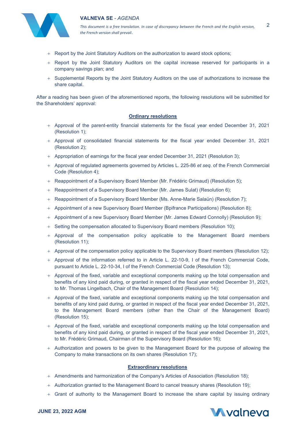



*This document is a free translation. In case of discrepancy between the French and the English version, the French version shall prevail*.

2

- + Report by the Joint Statutory Auditors on the authorization to award stock options;
- + Report by the Joint Statutory Auditors on the capital increase reserved for participants in a company savings plan; and
- + Supplemental Reports by the Joint Statutory Auditors on the use of authorizations to increase the share capital.

After a reading has been given of the aforementioned reports, the following resolutions will be submitted for the Shareholders' approval:

#### **Ordinary resolutions**

- + Approval of the parent-entity financial statements for the fiscal year ended December 31, 2021 (Resolution 1);
- + Approval of consolidated financial statements for the fiscal year ended December 31, 2021 (Resolution 2);
- + Appropriation of earnings for the fiscal year ended December 31, 2021 (Resolution 3);
- + Approval of regulated agreements governed by Articles L. 225-86 *et seq.* of the French Commercial Code (Resolution 4);
- + Reappointment of a Supervisory Board Member (Mr. Frédéric Grimaud) (Resolution 5);
- + Reappointment of a Supervisory Board Member (Mr. James Sulat) (Resolution 6);
- + Reappointment of a Supervisory Board Member (Ms. Anne-Marie Salaün) (Resolution 7);
- + Appointment of a new Supervisory Board Member (Bpifrance Participations) (Resolution 8);
- + Appointment of a new Supervisory Board Member (Mr. James Edward Connolly) (Resolution 9);
- + Setting the compensation allocated to Supervisory Board members (Resolution 10);
- + Approval of the compensation policy applicable to the Management Board members (Resolution 11);
- + Approval of the compensation policy applicable to the Supervisory Board members (Resolution 12);
- + Approval of the information referred to in Article L. 22-10-9, I of the French Commercial Code, pursuant to Article L. 22-10-34, I of the French Commercial Code (Resolution 13);
- + Approval of the fixed, variable and exceptional components making up the total compensation and benefits of any kind paid during, or granted in respect of the fiscal year ended December 31, 2021, to Mr. Thomas Lingelbach, Chair of the Management Board (Resolution 14);
- + Approval of the fixed, variable and exceptional components making up the total compensation and benefits of any kind paid during, or granted in respect of the fiscal year ended December 31, 2021, to the Management Board members (other than the Chair of the Management Board) (Resolution 15);
- + Approval of the fixed, variable and exceptional components making up the total compensation and benefits of any kind paid during, or granted in respect of the fiscal year ended December 31, 2021, to Mr. Frédéric Grimaud, Chairman of the Supervisory Board (Resolution 16);
- + Authorization and powers to be given to the Management Board for the purpose of allowing the Company to make transactions on its own shares (Resolution 17);

#### **Extraordinary resolutions**

- + Amendments and harmonization of the Company's Articles of Association (Resolution 18);
- + Authorization granted to the Management Board to cancel treasury shares (Resolution 19);
- + Grant of authority to the Management Board to increase the share capital by issuing ordinary



**JUNE 23, 2022 AGM**